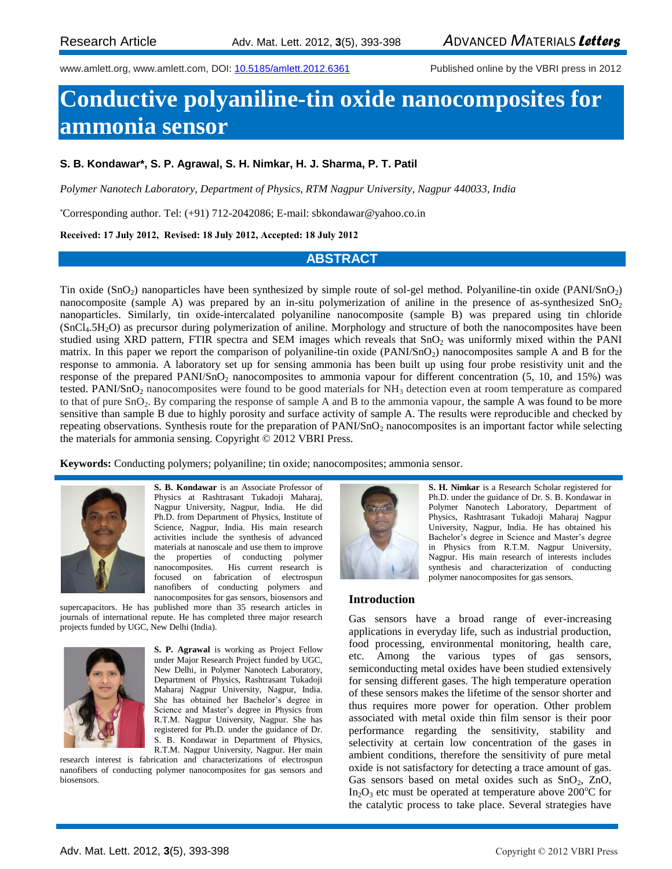www.amlett.org, www.amlett.com, DOI: [10.5185/amlett.2012.6361](http://dx.doi.org/10.5185/amlett.2012.6361) Published online by the VBRI press in 2012

# **Conductive polyaniline-tin oxide nanocomposites for ammonia sensor**

## **S. B. Kondawar\*, S. P. Agrawal, S. H. Nimkar, H. J. Sharma, P. T. Patil**

*Polymer Nanotech Laboratory, Department of Physics, RTM Nagpur University, Nagpur 440033, India*

\*Corresponding author. Tel: (+91) 712-2042086; E-mail: sbkondawar@yahoo.co.in

#### **Received: 17 July 2012, Revised: 18 July 2012, Accepted: 18 July 2012**

## **ABSTRACT**

Tin oxide  $(SnO<sub>2</sub>)$  nanoparticles have been synthesized by simple route of sol-gel method. Polyaniline-tin oxide  $(PANISnO<sub>2</sub>)$ nanocomposite (sample A) was prepared by an in-situ polymerization of aniline in the presence of as-synthesized  $SnO<sub>2</sub>$ nanoparticles. Similarly, tin oxide-intercalated polyaniline nanocomposite (sample B) was prepared using tin chloride  $(SnCl<sub>4</sub>.5H<sub>2</sub>O)$  as precursor during polymerization of aniline. Morphology and structure of both the nanocomposites have been studied using XRD pattern, FTIR spectra and SEM images which reveals that SnO<sub>2</sub> was uniformly mixed within the PANI matrix. In this paper we report the comparison of polyaniline-tin oxide  $(PANI/SnO<sub>2</sub>)$  nanocomposites sample A and B for the response to ammonia. A laboratory set up for sensing ammonia has been built up using four probe resistivity unit and the response of the prepared PANI/SnO<sub>2</sub> nanocomposites to ammonia vapour for different concentration (5, 10, and 15%) was tested. PANI/SnO<sub>2</sub> nanocomposites were found to be good materials for  $NH<sub>3</sub>$  detection even at room temperature as compared to that of pure  $SnO<sub>2</sub>$ . By comparing the response of sample A and B to the ammonia vapour, the sample A was found to be more sensitive than sample B due to highly porosity and surface activity of sample A. The results were reproducible and checked by repeating observations. Synthesis route for the preparation of PANI/SnO<sub>2</sub> nanocomposites is an important factor while selecting the materials for ammonia sensing. Copyright © 2012 VBRI Press.

**Keywords:** Conducting polymers; polyaniline; tin oxide; nanocomposites; ammonia sensor.



**S. B. Kondawar** is an Associate Professor of Physics at Rashtrasant Tukadoji Maharaj, Nagpur University, Nagpur, India. He did Ph.D. from Department of Physics, Institute of Science, Nagpur, India. His main research activities include the synthesis of advanced materials at nanoscale and use them to improve the properties of conducting polymer nanocomposites. His current research is focused on fabrication of electrospun nanofibers of conducting polymers and nanocomposites for gas sensors, biosensors and

supercapacitors. He has published more than 35 research articles in journals of international repute. He has completed three major research projects funded by UGC, New Delhi (India).



**S. P. Agrawal** is working as Project Fellow under Major Research Project funded by UGC, New Delhi, in Polymer Nanotech Laboratory, Department of Physics, Rashtrasant Tukadoji Maharaj Nagpur University, Nagpur, India. She has obtained her Bachelor's degree in Science and Master's degree in Physics from R.T.M. Nagpur University, Nagpur. She has registered for Ph.D. under the guidance of Dr. S. B. Kondawar in Department of Physics,

R.T.M. Nagpur University, Nagpur. Her main research interest is fabrication and characterizations of electrospun nanofibers of conducting polymer nanocomposites for gas sensors and biosensors.



**S. H. Nimkar** is a Research Scholar registered for Ph.D. under the guidance of Dr. S. B. Kondawar in Polymer Nanotech Laboratory, Department of Physics, Rashtrasant Tukadoji Maharaj Nagpur University, Nagpur, India. He has obtained his Bachelor's degree in Science and Master's degree in Physics from R.T.M. Nagpur University, Nagpur. His main research of interests includes synthesis and characterization of conducting polymer nanocomposites for gas sensors.

#### **Introduction**

Gas sensors have a broad range of ever-increasing applications in everyday life, such as industrial production, food processing, environmental monitoring, health care, etc. Among the various types of gas sensors, semiconducting metal oxides have been studied extensively for sensing different gases. The high temperature operation of these sensors makes the lifetime of the sensor shorter and thus requires more power for operation. Other problem associated with metal oxide thin film sensor is their poor performance regarding the sensitivity, stability and selectivity at certain low concentration of the gases in ambient conditions, therefore the sensitivity of pure metal oxide is not satisfactory for detecting a trace amount of gas. Gas sensors based on metal oxides such as  $SnO<sub>2</sub>$ , ZnO, In<sub>2</sub>O<sub>3</sub> etc must be operated at temperature above 200 $^{\circ}$ C for the catalytic process to take place. Several strategies have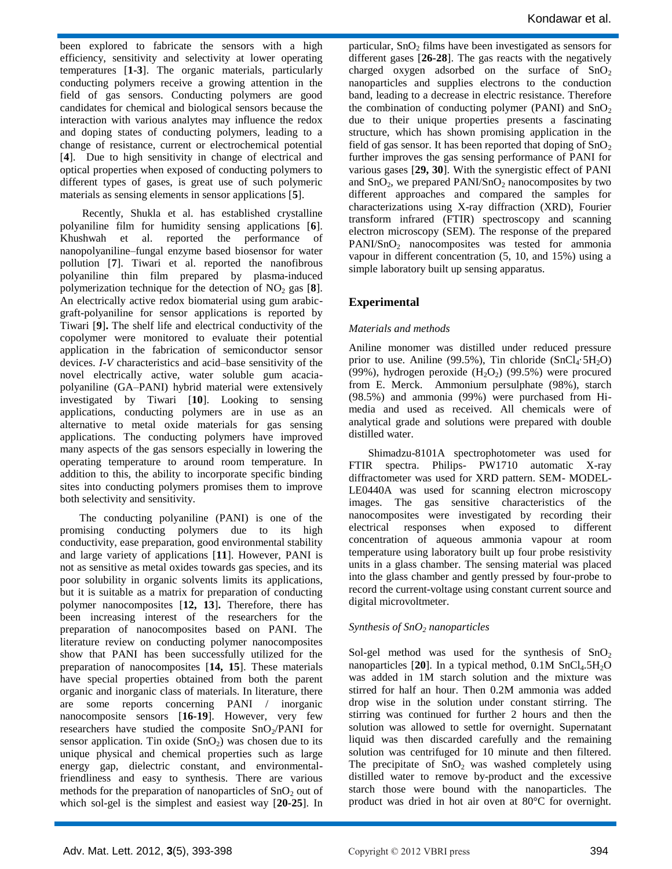been explored to fabricate the sensors with a high efficiency, sensitivity and selectivity at lower operating temperatures [**1-3**]. The organic materials, particularly conducting polymers receive a growing attention in the field of gas sensors. Conducting polymers are good candidates for chemical and biological sensors because the interaction with various analytes may influence the redox and doping states of conducting polymers, leading to a change of resistance, current or electrochemical potential [**4**]. Due to high sensitivity in change of electrical and optical properties when exposed of conducting polymers to different types of gases, is great use of such polymeric materials as sensing elements in sensor applications [**5**].

 Recently, Shukla et al. has established crystalline polyaniline film for humidity sensing applications [**6**]. Khushwah et al. reported the performance of nanopolyaniline–fungal enzyme based biosensor for water pollution [**7**]. Tiwari et al. reported the nanofibrous polyaniline thin film prepared by plasma-induced polymerization technique for the detection of  $NO<sub>2</sub>$  gas [8]. An electrically active redox biomaterial using gum arabicgraft-polyaniline for sensor applications is reported by Tiwari [**9**]**.** The shelf life and electrical conductivity of the copolymer were monitored to evaluate their potential application in the fabrication of semiconductor sensor devices. *I-V* characteristics and acid–base sensitivity of the novel electrically active, water soluble gum acaciapolyaniline (GA–PANI) hybrid material were extensively investigated by Tiwari [**10**]. Looking to sensing applications, conducting polymers are in use as an alternative to metal oxide materials for gas sensing applications. The conducting polymers have improved many aspects of the gas sensors especially in lowering the operating temperature to around room temperature. In addition to this, the ability to incorporate specific binding sites into conducting polymers promises them to improve both selectivity and sensitivity.

 The conducting polyaniline (PANI) is one of the promising conducting polymers due to its high conductivity, ease preparation, good environmental stability and large variety of applications [**11**]. However, PANI is not as sensitive as metal oxides towards gas species, and its poor solubility in organic solvents limits its applications, but it is suitable as a matrix for preparation of conducting polymer nanocomposites [**12, 13**]**.** Therefore, there has been increasing interest of the researchers for the preparation of nanocomposites based on PANI. The literature review on conducting polymer nanocomposites show that PANI has been successfully utilized for the preparation of nanocomposites [**14, 15**]. These materials have special properties obtained from both the parent organic and inorganic class of materials. In literature, there are some reports concerning PANI / inorganic nanocomposite sensors [**16-19**]. However, very few researchers have studied the composite  $SnO<sub>2</sub>/PANI$  for sensor application. Tin oxide  $(SnO<sub>2</sub>)$  was chosen due to its unique physical and chemical properties such as large energy gap, dielectric constant, and environmentalfriendliness and easy to synthesis. There are various methods for the preparation of nanoparticles of  $SnO<sub>2</sub>$  out of which sol-gel is the simplest and easiest way [**20-25**]. In

particular,  $SnO<sub>2</sub>$  films have been investigated as sensors for different gases [**26-28**]. The gas reacts with the negatively charged oxygen adsorbed on the surface of  $SnO<sub>2</sub>$ nanoparticles and supplies electrons to the conduction band, leading to a decrease in electric resistance. Therefore the combination of conducting polymer (PANI) and  $SnO<sub>2</sub>$ due to their unique properties presents a fascinating structure, which has shown promising application in the field of gas sensor. It has been reported that doping of  $SnO<sub>2</sub>$ further improves the gas sensing performance of PANI for various gases [**29, 30**]. With the synergistic effect of PANI and  $SnO<sub>2</sub>$ , we prepared PANI/SnO<sub>2</sub> nanocomposites by two different approaches and compared the samples for characterizations using X-ray diffraction (XRD), Fourier transform infrared (FTIR) spectroscopy and scanning electron microscopy (SEM). The response of the prepared PANI/SnO<sub>2</sub> nanocomposites was tested for ammonia vapour in different concentration (5, 10, and 15%) using a simple laboratory built up sensing apparatus.

# **Experimental**

## *Materials and methods*

Aniline monomer was distilled under reduced pressure prior to use. Aniline (99.5%), Tin chloride  $(SnCl<sub>4</sub>·5H<sub>2</sub>O)$ (99%), hydrogen peroxide  $(H_2O_2)$  (99.5%) were procured from E. Merck. Ammonium persulphate (98%), starch (98.5%) and ammonia (99%) were purchased from Himedia and used as received. All chemicals were of analytical grade and solutions were prepared with double distilled water.

 Shimadzu-8101A spectrophotometer was used for FTIR spectra. Philips- PW1710 automatic X-ray diffractometer was used for XRD pattern. SEM- MODEL-LE0440A was used for scanning electron microscopy images. The gas sensitive characteristics of the nanocomposites were investigated by recording their electrical responses when exposed to different concentration of aqueous ammonia vapour at room temperature using laboratory built up four probe resistivity units in a glass chamber. The sensing material was placed into the glass chamber and gently pressed by four-probe to record the current-voltage using constant current source and digital microvoltmeter.

## *Synthesis of SnO<sup>2</sup> nanoparticles*

Sol-gel method was used for the synthesis of  $SnO<sub>2</sub>$ nanoparticles  $[20]$ . In a typical method,  $0.1M$  SnCl<sub>4</sub>.5H<sub>2</sub>O was added in 1M starch solution and the mixture was stirred for half an hour. Then 0.2M ammonia was added drop wise in the solution under constant stirring. The stirring was continued for further 2 hours and then the solution was allowed to settle for overnight. Supernatant liquid was then discarded carefully and the remaining solution was centrifuged for 10 minute and then filtered. The precipitate of  $SnO<sub>2</sub>$  was washed completely using distilled water to remove by-product and the excessive starch those were bound with the nanoparticles. The product was dried in hot air oven at 80°C for overnight.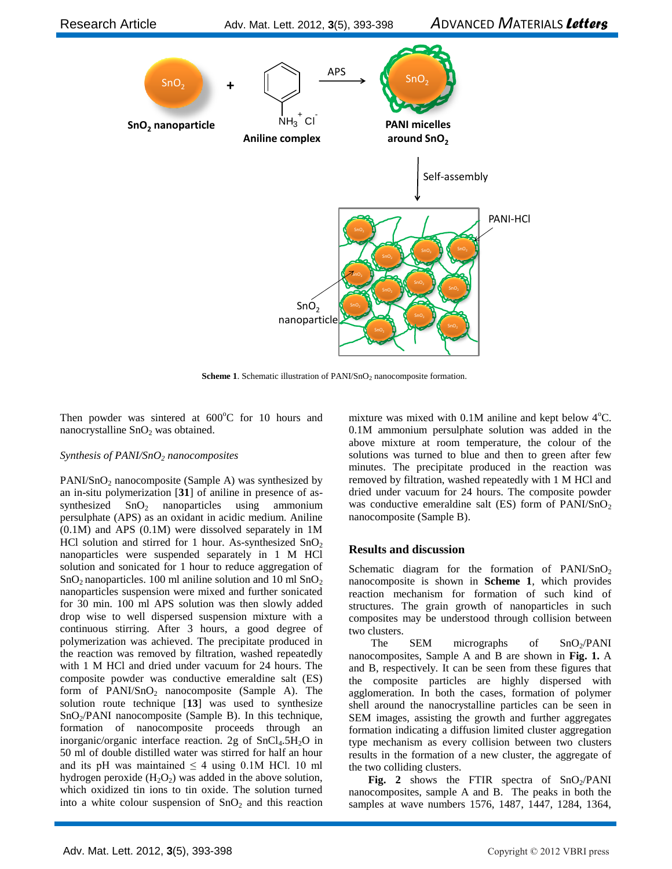

**Scheme 1**. Schematic illustration of PANI/SnO<sub>2</sub> nanocomposite formation.

Then powder was sintered at  $600^{\circ}$ C for 10 hours and nanocrystalline  $SnO<sub>2</sub>$  was obtained.

## *Synthesis of PANI/SnO<sup>2</sup> nanocomposites*

 $PANI/SnO<sub>2</sub>$  nanocomposite (Sample A) was synthesized by an in-situ polymerization [**31**] of aniline in presence of assynthesized  $SnO<sub>2</sub>$  nanoparticles using ammonium persulphate (APS) as an oxidant in acidic medium. Aniline (0.1M) and APS (0.1M) were dissolved separately in 1M HCl solution and stirred for 1 hour. As-synthesized  $SnO<sub>2</sub>$ nanoparticles were suspended separately in 1 M HCl solution and sonicated for 1 hour to reduce aggregation of  $SnO<sub>2</sub>$  nanoparticles. 100 ml aniline solution and 10 ml  $SnO<sub>2</sub>$ nanoparticles suspension were mixed and further sonicated for 30 min. 100 ml APS solution was then slowly added drop wise to well dispersed suspension mixture with a continuous stirring. After 3 hours, a good degree of polymerization was achieved. The precipitate produced in the reaction was removed by filtration, washed repeatedly with 1 M HCl and dried under vacuum for 24 hours. The composite powder was conductive emeraldine salt (ES) form of  $PANI/SnO<sub>2</sub>$  nanocomposite (Sample A). The solution route technique [**13**] was used to synthesize  $SnO<sub>2</sub>/PANI$  nanocomposite (Sample B). In this technique, formation of nanocomposite proceeds through an inorganic/organic interface reaction. 2g of  $SnCl<sub>4</sub>.5H<sub>2</sub>O$  in 50 ml of double distilled water was stirred for half an hour and its pH was maintained  $\leq$  4 using 0.1M HCl. 10 ml hydrogen peroxide  $(H_2O_2)$  was added in the above solution, which oxidized tin ions to tin oxide. The solution turned into a white colour suspension of  $SnO<sub>2</sub>$  and this reaction

mixture was mixed with  $0.1M$  aniline and kept below  $4^{\circ}$ C. 0.1M ammonium persulphate solution was added in the above mixture at room temperature, the colour of the solutions was turned to blue and then to green after few minutes. The precipitate produced in the reaction was removed by filtration, washed repeatedly with 1 M HCl and dried under vacuum for 24 hours. The composite powder was conductive emeraldine salt (ES) form of  $PANI/SnO<sub>2</sub>$ nanocomposite (Sample B).

## **Results and discussion**

Schematic diagram for the formation of  $PANI/SnO<sub>2</sub>$ nanocomposite is shown in **Scheme 1**, which provides reaction mechanism for formation of such kind of structures. The grain growth of nanoparticles in such composites may be understood through collision between two clusters.

The SEM micrographs of  $SnO<sub>2</sub>/PANI$ nanocomposites, Sample A and B are shown in **Fig. 1.** A and B, respectively. It can be seen from these figures that the composite particles are highly dispersed with agglomeration. In both the cases, formation of polymer shell around the nanocrystalline particles can be seen in SEM images, assisting the growth and further aggregates formation indicating a diffusion limited cluster aggregation type mechanism as every collision between two clusters results in the formation of a new cluster, the aggregate of the two colliding clusters.

**Fig.** 2 shows the FTIR spectra of  $SnO<sub>2</sub>/PANI$ nanocomposites, sample A and B. The peaks in both the samples at wave numbers 1576, 1487, 1447, 1284, 1364,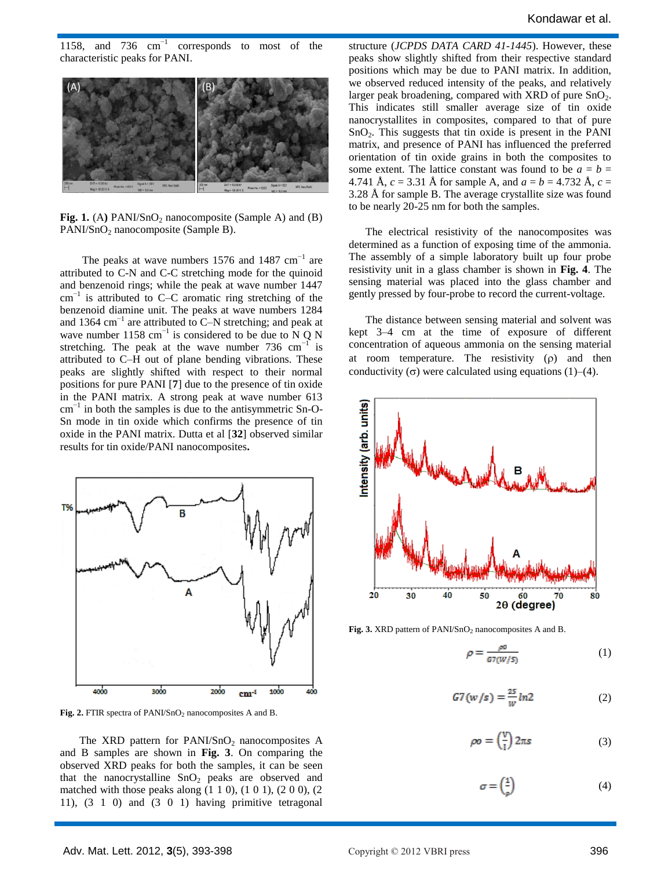1158, and 736 cm−1 corresponds to most of the characteristic peaks for PANI.



**Fig. 1.** (A) PANI/SnO<sub>2</sub> nanocomposite (Sample A) and (B) PANI/SnO<sub>2</sub> nanocomposite (Sample B).

The peaks at wave numbers  $1576$  and  $1487$  cm<sup>-1</sup> are attributed to C-N and C-C stretching mode for the quinoid and benzenoid rings; while the peak at wave number 1447 cm−1 is attributed to C–C aromatic ring stretching of the benzenoid diamine unit. The peaks at wave numbers 1284 and 1364 cm−1 are attributed to C–N stretching; and peak at wave number 1158 cm<sup>-1</sup> is considered to be due to N Q N stretching. The peak at the wave number 736  $cm^{-1}$ is attributed to C–H out of plane bending vibrations. These peaks are slightly shifted with respect to their normal positions for pure PANI [**7**] due to the presence of tin oxide in the PANI matrix. A strong peak at wave number 613 cm−1 in both the samples is due to the antisymmetric Sn-O-Sn mode in tin oxide which confirms the presence of tin oxide in the PANI matrix. Dutta et al [**32**] observed similar results for tin oxide/PANI nanocomposites**.**



Fig. 2. FTIR spectra of PANI/SnO<sub>2</sub> nanocomposites A and B.

The XRD pattern for  $PANI/SnO<sub>2</sub>$  nanocomposites A and B samples are shown in **Fig. 3**. On comparing the observed XRD peaks for both the samples, it can be seen that the nanocrystalline  $SnO<sub>2</sub>$  peaks are observed and matched with those peaks along  $(1\ 1\ 0)$ ,  $(1\ 0\ 1)$ ,  $(2\ 0\ 0)$ ,  $(2\ 0\ 0)$ 11), (3 1 0) and (3 0 1) having primitive tetragonal

structure (*JCPDS DATA CARD 41-1445*). However, these peaks show slightly shifted from their respective standard positions which may be due to PANI matrix. In addition, we observed reduced intensity of the peaks, and relatively larger peak broadening, compared with XRD of pure  $SnO<sub>2</sub>$ . This indicates still smaller average size of tin oxide nanocrystallites in composites, compared to that of pure SnO2. This suggests that tin oxide is present in the PANI matrix, and presence of PANI has influenced the preferred orientation of tin oxide grains in both the composites to some extent. The lattice constant was found to be  $a = b =$ 4.741 Å,  $c = 3.31$  Å for sample A, and  $a = b = 4.732$  Å,  $c =$ 3.28 Å for sample B. The average crystallite size was found to be nearly 20-25 nm for both the samples.

 The electrical resistivity of the nanocomposites was determined as a function of exposing time of the ammonia. The assembly of a simple laboratory built up four probe resistivity unit in a glass chamber is shown in **Fig. 4**. The sensing material was placed into the glass chamber and gently pressed by four-probe to record the current-voltage.

 The distance between sensing material and solvent was kept 3–4 cm at the time of exposure of different concentration of aqueous ammonia on the sensing material at room temperature. The resistivity  $(\rho)$  and then conductivity  $(\sigma)$  were calculated using equations (1)–(4).



Fig. 3. XRD pattern of PANI/SnO<sub>2</sub> nanocomposites A and B.

$$
\rho = \frac{\rho o}{G7(W/S)}\tag{1}
$$

$$
G7(w/s) = \frac{25}{w}ln2
$$
 (2)

$$
\rho \mathbf{v} = \left(\frac{\mathbf{v}}{1}\right) 2\pi \mathbf{s} \tag{3}
$$

$$
\sigma = \left(\frac{1}{\rho}\right) \tag{4}
$$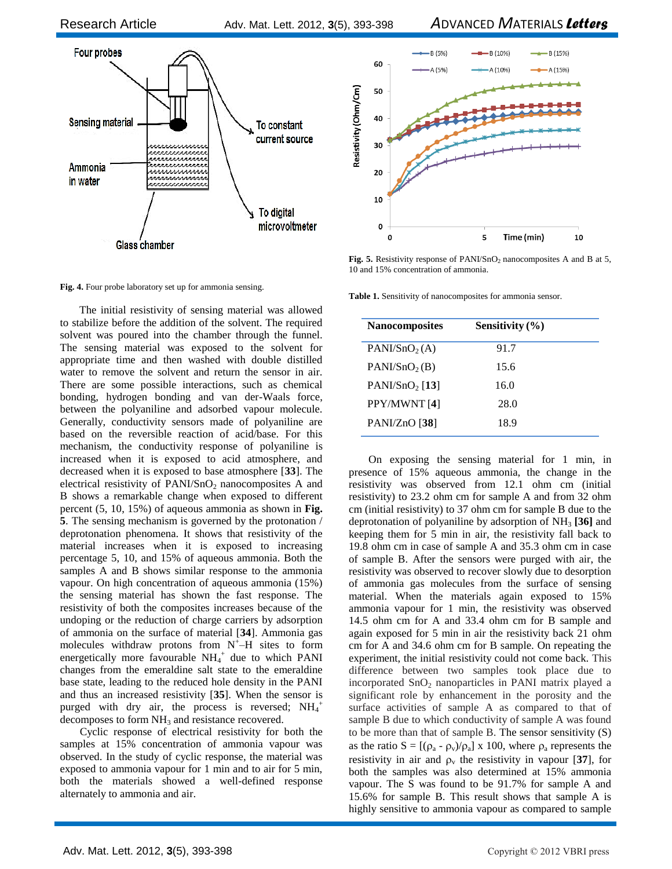

Fig. 4. Four probe laboratory set up for ammonia sensing.

 The initial resistivity of sensing material was allowed to stabilize before the addition of the solvent. The required solvent was poured into the chamber through the funnel. The sensing material was exposed to the solvent for appropriate time and then washed with double distilled water to remove the solvent and return the sensor in air. There are some possible interactions, such as chemical bonding, hydrogen bonding and van der-Waals force, between the polyaniline and adsorbed vapour molecule. Generally, conductivity sensors made of polyaniline are based on the reversible reaction of acid/base. For this mechanism, the conductivity response of polyaniline is increased when it is exposed to acid atmosphere, and decreased when it is exposed to base atmosphere [**33**]. The electrical resistivity of  $PANI/SnO<sub>2</sub>$  nanocomposites A and B shows a remarkable change when exposed to different percent (5, 10, 15%) of aqueous ammonia as shown in **Fig. 5**. The sensing mechanism is governed by the protonation / deprotonation phenomena. It shows that resistivity of the material increases when it is exposed to increasing percentage 5, 10, and 15% of aqueous ammonia. Both the samples A and B shows similar response to the ammonia vapour. On high concentration of aqueous ammonia (15%) the sensing material has shown the fast response. The resistivity of both the composites increases because of the undoping or the reduction of charge carriers by adsorption of ammonia on the surface of material [**34**]. Ammonia gas molecules withdraw protons from  $N^{+}$ -H sites to form energetically more favourable  $NH_4^+$  due to which PANI changes from the emeraldine salt state to the emeraldine base state, leading to the reduced hole density in the PANI and thus an increased resistivity [**35**]. When the sensor is purged with dry air, the process is reversed;  $NH_4^+$ decomposes to form  $NH<sub>3</sub>$  and resistance recovered.

 Cyclic response of electrical resistivity for both the samples at 15% concentration of ammonia vapour was observed. In the study of cyclic response, the material was exposed to ammonia vapour for 1 min and to air for 5 min, both the materials showed a well-defined response alternately to ammonia and air.



Fig. 5. Resistivity response of PANI/SnO<sub>2</sub> nanocomposites A and B at 5, 10 and 15% concentration of ammonia.

**Table 1.** Sensitivity of nanocomposites for ammonia sensor.

| <b>Nanocomposites</b>     | Sensitivity $(\% )$ |  |
|---------------------------|---------------------|--|
| PANI/SnO <sub>2</sub> (A) | 91.7                |  |
| PANI/SnO <sub>2</sub> (B) | 15.6                |  |
| $PANI/SnO2$ [13]          | 16.0                |  |
| PPY/MWNT [4]              | 28.0                |  |
| PANI/ZnO [38]             | 18.9                |  |

On exposing the sensing material for 1 min, in presence of 15% aqueous ammonia, the change in the resistivity was observed from 12.1 ohm cm (initial resistivity) to 23.2 ohm cm for sample A and from 32 ohm cm (initial resistivity) to 37 ohm cm for sample B due to the deprotonation of polyaniline by adsorption of NH<sup>3</sup> **[36]** and keeping them for 5 min in air, the resistivity fall back to 19.8 ohm cm in case of sample A and 35.3 ohm cm in case of sample B. After the sensors were purged with air, the resistivity was observed to recover slowly due to desorption of ammonia gas molecules from the surface of sensing material. When the materials again exposed to 15% ammonia vapour for 1 min, the resistivity was observed 14.5 ohm cm for A and 33.4 ohm cm for B sample and again exposed for 5 min in air the resistivity back 21 ohm cm for A and 34.6 ohm cm for B sample. On repeating the experiment, the initial resistivity could not come back. This difference between two samples took place due to incorporated  $SnO<sub>2</sub>$  nanoparticles in PANI matrix played a significant role by enhancement in the porosity and the surface activities of sample A as compared to that of sample B due to which conductivity of sample A was found to be more than that of sample B. The sensor sensitivity (S) as the ratio  $S = [(\rho_a - \rho_v)/\rho_a] \times 100$ , where  $\rho_a$  represents the resistivity in air and  $\rho_v$  the resistivity in vapour [37], for both the samples was also determined at 15% ammonia vapour. The S was found to be 91.7% for sample A and 15.6% for sample B. This result shows that sample A is highly sensitive to ammonia vapour as compared to sample